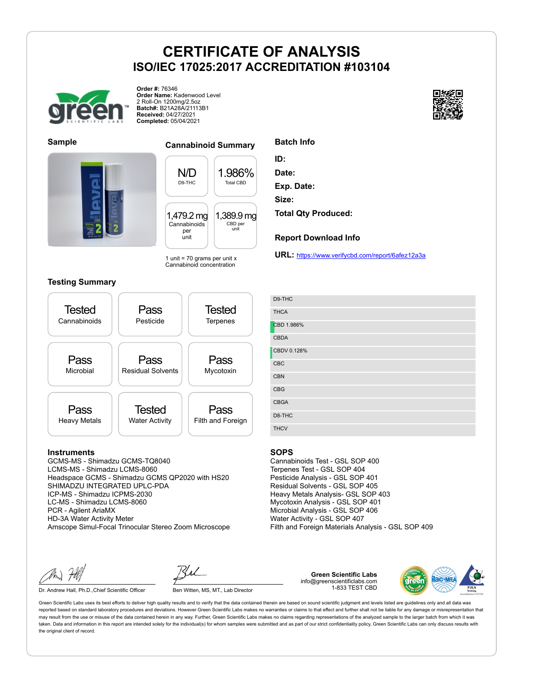

**Order #:** 76346 **Order Name:** Kadenwood Level 2 Roll-On 1200mg/2.5oz **Batch#:** B21A28A/21113B1 **Received:** 04/27/2021 **Completed:** 05/04/2021





## **Sample Cannabinoid Summary**

N/D D9-THC 1.986% Total CBD 1,479.2 mg Cannabinoids per unit 1,389.9 mg CBD per unit

1 unit = 70 grams per unit  $x$ Cannabinoid concentration

### **Testing Summary**



#### **Instruments**

GCMS-MS - Shimadzu GCMS-TQ8040 LCMS-MS - Shimadzu LCMS-8060 Headspace GCMS - Shimadzu GCMS QP2020 with HS20 SHIMADZU INTEGRATED UPLC-PDA ICP-MS - Shimadzu ICPMS-2030 LC-MS - Shimadzu LCMS-8060 PCR - Agilent AriaMX HD-3A Water Activity Meter Amscope Simul-Focal Trinocular Stereo Zoom Microscope

Dr. Andrew Hall, Ph.D., Chief Scientific Officer Ben Witten, MS, MT., Lab Director

**Green Scientific Labs** info@greenscientificlabs.com 1-833 TEST CBD



Green Scientific Labs uses its best efforts to deliver high quality results and to verify that the data contained therein are based on sound scientific judgment and levels listed are guidelines only and all data was reported based on standard laboratory procedures and deviations. However Green Scientific Labs makes no warranties or claims to that effect and further shall not be liable for any damage or misrepresentation that may result from the use or misuse of the data contained herein in any way. Further, Green Scientific Labs makes no claims regarding representations of the analyzed sample to the larger batch from which it was taken. Data and information in this report are intended solely for the individual(s) for whom samples were submitted and as part of our strict confidentiality policy, Green Scientific Labs can only discuss results with the original client of record.



| Batch Info |  |
|------------|--|
|------------|--|

**ID:**

**Date:**

**Exp. Date:**

**Size:**

**Total Qty Produced:**

#### **Report Download Info**

**URL:** https://www.verifycbd.com/report/6afez12a3a

| D9-THC      |
|-------------|
| <b>THCA</b> |
| CBD 1.986%  |
| <b>CBDA</b> |
| CBDV 0.128% |
| CBC         |
| CBN         |
| CBG         |
| <b>CBGA</b> |
| D8-THC      |
| <b>THCV</b> |

#### **SOPS**

Cannabinoids Test - GSL SOP 400 Terpenes Test - GSL SOP 404 Pesticide Analysis - GSL SOP 401 Residual Solvents - GSL SOP 405 Heavy Metals Analysis- GSL SOP 403 Mycotoxin Analysis - GSL SOP 401 Microbial Analysis - GSL SOP 406 Water Activity - GSL SOP 407 Filth and Foreign Materials Analysis - GSL SOP 409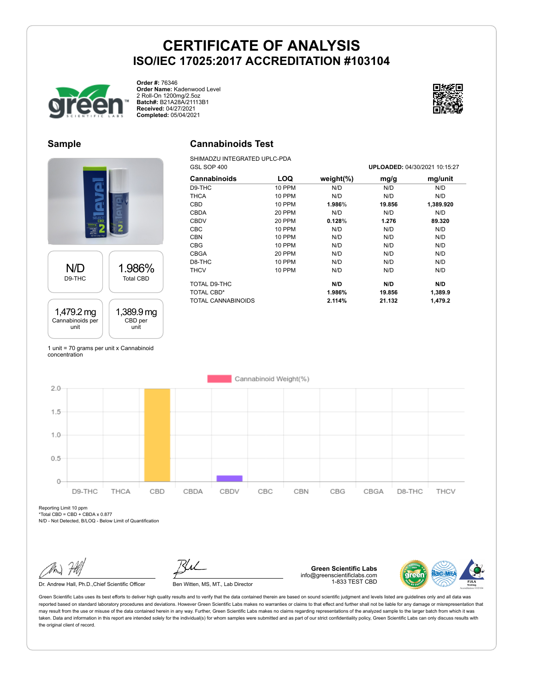

**Order #:** 76346 **Order Name:** Kadenwood Level 2 Roll-On 1200mg/2.5oz **Batch#:** B21A28A/21113B1 **Received:** 04/27/2021 **Completed:** 05/04/2021



## **Sample**





1 unit = 70 grams per unit x Cannabinoid concentration

# **Cannabinoids Test**

SHIMADZU INTEGRATED UPLC-PDA<br>GSL SOP 400

| GSL SOP 400<br>UPLOADED: 04/30/2021 10:15:27 |               |               |        |           |
|----------------------------------------------|---------------|---------------|--------|-----------|
| Cannabinoids                                 | LOQ           | weight $(\%)$ | mg/g   | mg/unit   |
| D9-THC                                       | <b>10 PPM</b> | N/D           | N/D    | N/D       |
| <b>THCA</b>                                  | <b>10 PPM</b> | N/D           | N/D    | N/D       |
| <b>CBD</b>                                   | <b>10 PPM</b> | 1.986%        | 19.856 | 1,389.920 |
| <b>CBDA</b>                                  | 20 PPM        | N/D           | N/D    | N/D       |
| <b>CBDV</b>                                  | 20 PPM        | 0.128%        | 1.276  | 89.320    |
| <b>CBC</b>                                   | <b>10 PPM</b> | N/D           | N/D    | N/D       |
| <b>CBN</b>                                   | 10 PPM        | N/D           | N/D    | N/D       |
| <b>CBG</b>                                   | 10 PPM        | N/D           | N/D    | N/D       |
| <b>CBGA</b>                                  | 20 PPM        | N/D           | N/D    | N/D       |
| D8-THC                                       | 10 PPM        | N/D           | N/D    | N/D       |
| <b>THCV</b>                                  | <b>10 PPM</b> | N/D           | N/D    | N/D       |
| TOTAL D9-THC                                 |               | N/D           | N/D    | N/D       |
| <b>TOTAL CBD*</b>                            |               | 1.986%        | 19.856 | 1,389.9   |
| TOTAL CANNABINOIDS                           |               | 2.114%        | 21.132 | 1,479.2   |



Reporting Limit 10 ppm \*Total CBD = CBD + CBDA x  $0.877$ 

N/D - Not Detected, B/LOQ - Below Limit of Quantification

Dr. Andrew Hall, Ph.D., Chief Scientific Officer Ben Witten, MS, MT., Lab Director

**Green Scientific Labs** info@greenscientificlabs.com 1-833 TEST CBD

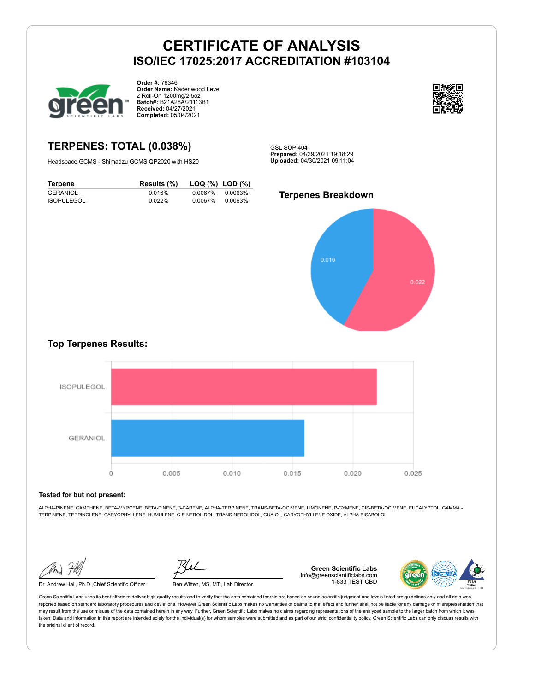

**Order #:** 76346 **Order Name:** Kadenwood Level 2 Roll-On 1200mg/2.5oz **Batch#:** B21A28A/21113B1 **Received:** 04/27/2021 **Completed:** 05/04/2021



# **TERPENES: TOTAL (0.038%)**

Headspace GCMS - Shimadzu GCMS QP2020 with HS20

GSL SOP 404 **Prepared:** 04/29/2021 19:18:29 **Uploaded:** 04/30/2021 09:11:04

## **Terpene Results (%) LOQ (%) LOD (%)** GERANIOL 0.016% 0.0067% 0.0063% **ISOPULEGOL**



## **Top Terpenes Results:**



#### **Tested for but not present:**

ALPHA-PINENE, CAMPHENE, BETA-MYRCENE, BETA-PINENE, 3-CARENE, ALPHA-TERPINENE, TRANS-BETA-OCIMENE, LIMONENE, P-CYMENE, CIS-BETA-OCIMENE, EUCALYPTOL, GAMMA.- TERPINENE, TERPINOLENE, CARYOPHYLLENE, HUMULENE, CIS-NEROLIDOL, TRANS-NEROLIDOL, GUAIOL, CARYOPHYLLENE OXIDE, ALPHA-BISABOLOL

Dr. Andrew Hall, Ph.D.,Chief Scientific Officer Ben Witten, MS, MT., Lab Director

**Green Scientific Labs** info@greenscientificlabs.com 1-833 TEST CBD

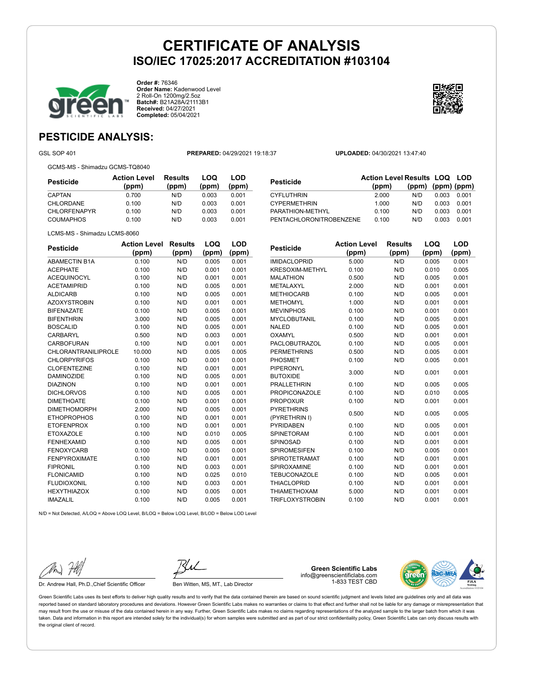

**Order #:** 76346 **Order Name:** Kadenwood Level 2 Roll-On 1200mg/2.5oz **Batch#:** B21A28A/21113B1 **Received:** 04/27/2021 **Completed:** 05/04/2021



# **PESTICIDE ANALYSIS:**

GSL SOP 401 **PREPARED:** 04/29/2021 19:18:37 **UPLOADED:** 04/30/2021 13:47:40

GCMS-MS - Shimadzu GCMS-TQ8040

| Pesticide           | <b>Action Level</b><br>(ppm) | Results<br>(ppm) | LOQ<br>(ppm) | LOD<br>(ppm) |
|---------------------|------------------------------|------------------|--------------|--------------|
| CAPTAN              | 0.700                        | N/D              | 0.003        | 0.001        |
| CHLORDANE           | 0.100                        | N/D              | 0.003        | 0.001        |
| <b>CHLORFENAPYR</b> | 0.100                        | N/D              | 0.003        | 0.001        |
| <b>COUMAPHOS</b>    | 0.100                        | N/D              | 0.003        | 0.001        |

| 2.000                            | N/D   | 0.003 | 0.001                                                        |
|----------------------------------|-------|-------|--------------------------------------------------------------|
| 1.000                            | N/D   | 0.003 | 0.001                                                        |
| 0.100                            | N/D   | 0.003 | 0.001                                                        |
| PENTACHLORONITROBENZENE<br>0.100 | N/D   | 0.003 | 0.001                                                        |
|                                  | (ppm) |       | <b>Action Level Results LOQ LOD</b><br>$(ppm)$ (ppm) $(ppm)$ |

| <b>Pesticide</b>     | <b>Action Level</b> | Results | LOQ   | LOD   |
|----------------------|---------------------|---------|-------|-------|
|                      | (ppm)               | (ppm)   | (ppm) | (ppm) |
| <b>ABAMECTIN B1A</b> | 0.100               | N/D     | 0.005 | 0.001 |
| <b>ACEPHATE</b>      | 0.100               | N/D     | 0.001 | 0.001 |
| <b>ACEQUINOCYL</b>   | 0.100               | N/D     | 0.001 | 0.001 |
| <b>ACETAMIPRID</b>   | 0.100               | N/D     | 0.005 | 0.001 |
| <b>ALDICARB</b>      | 0.100               | N/D     | 0.005 | 0.001 |
| <b>AZOXYSTROBIN</b>  | 0.100               | N/D     | 0.001 | 0.001 |
| <b>BIFENAZATE</b>    | 0.100               | N/D     | 0.005 | 0.001 |
| <b>BIFENTHRIN</b>    | 3.000               | N/D     | 0.005 | 0.001 |
| <b>BOSCALID</b>      | 0.100               | N/D     | 0.005 | 0.001 |
| CARBARYL             | 0.500               | N/D     | 0.003 | 0.001 |
| CARBOFURAN           | 0.100               | N/D     | 0.001 | 0.001 |
| CHLORANTRANILIPROLE  | 10.000              | N/D     | 0.005 | 0.005 |
| <b>CHLORPYRIFOS</b>  | 0.100               | N/D     | 0.001 | 0.001 |
| <b>CLOFENTEZINE</b>  | 0.100               | N/D     | 0.001 | 0.001 |
| <b>DAMINOZIDE</b>    | 0.100               | N/D     | 0.005 | 0.001 |
| <b>DIAZINON</b>      | 0.100               | N/D     | 0.001 | 0.001 |
| <b>DICHLORVOS</b>    | 0.100               | N/D     | 0.005 | 0.001 |
| <b>DIMETHOATE</b>    | 0.100               | N/D     | 0.001 | 0.001 |
| <b>DIMETHOMORPH</b>  | 2.000               | N/D     | 0.005 | 0.001 |
| <b>ETHOPROPHOS</b>   | 0.100               | N/D     | 0.001 | 0.001 |
| <b>ETOFENPROX</b>    | 0.100               | N/D     | 0.001 | 0.001 |
| <b>ETOXAZOLE</b>     | 0.100               | N/D     | 0.010 | 0.005 |
| <b>FENHEXAMID</b>    | 0.100               | N/D     | 0.005 | 0.001 |
| <b>FENOXYCARB</b>    | 0.100               | N/D     | 0.005 | 0.001 |
| <b>FENPYROXIMATE</b> | 0.100               | N/D     | 0.001 | 0.001 |
| <b>FIPRONIL</b>      | 0.100               | N/D     | 0.003 | 0.001 |
| <b>FLONICAMID</b>    | 0.100               | N/D     | 0.025 | 0.010 |
| <b>FLUDIOXONIL</b>   | 0.100               | N/D     | 0.003 | 0.001 |
| <b>HEXYTHIAZOX</b>   | 0.100               | N/D     | 0.005 | 0.001 |
| <b>IMAZALIL</b>      | 0.100               | N/D     | 0.005 | 0.001 |

| <b>Pesticide</b>       | <b>Action Level</b> | <b>Results</b> | LOQ   | LOD   |
|------------------------|---------------------|----------------|-------|-------|
|                        | (ppm)               | (ppm)          | (ppm) | (ppm) |
| <b>IMIDACLOPRID</b>    | 5.000               | N/D            | 0.005 | 0.001 |
| <b>KRESOXIM-METHYL</b> | 0.100               | N/D            | 0.010 | 0.005 |
| <b>MALATHION</b>       | 0.500               | N/D            | 0.005 | 0.001 |
| METALAXYL              | 2.000               | N/D            | 0.001 | 0.001 |
| <b>METHIOCARB</b>      | 0.100               | N/D            | 0.005 | 0.001 |
| <b>METHOMYL</b>        | 1.000               | N/D            | 0.001 | 0.001 |
| <b>MEVINPHOS</b>       | 0.100               | N/D            | 0.001 | 0.001 |
| <b>MYCLOBUTANIL</b>    | 0.100               | N/D            | 0.005 | 0.001 |
| <b>NALED</b>           | 0.100               | N/D            | 0.005 | 0.001 |
| OXAMYL                 | 0.500               | N/D            | 0.001 | 0.001 |
| <b>PACLOBUTRAZOL</b>   | 0.100               | N/D            | 0.005 | 0.001 |
| <b>PERMETHRINS</b>     | 0.500               | N/D            | 0.005 | 0.001 |
| <b>PHOSMET</b>         | 0.100               | N/D            | 0.005 | 0.001 |
| PIPERONYL              | 3.000               | N/D            | 0.001 | 0.001 |
| <b>BUTOXIDE</b>        |                     |                |       |       |
| <b>PRALLETHRIN</b>     | 0.100               | N/D            | 0.005 | 0.005 |
| <b>PROPICONAZOLE</b>   | 0.100               | N/D            | 0.010 | 0.005 |
| <b>PROPOXUR</b>        | 0.100               | N/D            | 0.001 | 0.001 |
| <b>PYRETHRINS</b>      | 0.500               | N/D            | 0.005 | 0.005 |
| (PYRETHRIN I)          |                     |                |       |       |
| <b>PYRIDABEN</b>       | 0.100               | N/D            | 0.005 | 0.001 |
| <b>SPINETORAM</b>      | 0.100               | N/D            | 0.001 | 0.001 |
| SPINOSAD               | 0.100               | N/D            | 0.001 | 0.001 |
| <b>SPIROMESIFEN</b>    | 0.100               | N/D            | 0.005 | 0.001 |
| <b>SPIROTETRAMAT</b>   | 0.100               | N/D            | 0.001 | 0.001 |
| SPIROXAMINE            | 0.100               | N/D            | 0.001 | 0.001 |
| <b>TEBUCONAZOLE</b>    | 0.100               | N/D            | 0.005 | 0.001 |
| <b>THIACLOPRID</b>     | 0.100               | N/D            | 0.001 | 0.001 |
| <b>THIAMETHOXAM</b>    | 5.000               | N/D            | 0.001 | 0.001 |
| <b>TRIFLOXYSTROBIN</b> | 0.100               | N/D            | 0.001 | 0.001 |

N/D = Not Detected, A/LOQ = Above LOQ Level, B/LOQ = Below LOQ Level, B/LOD = Below LOD Level

Dr. Andrew Hall, Ph.D., Chief Scientific Officer Ben Witten, MS, MT., Lab Director

**Green Scientific Labs** info@greenscientificlabs.com 1-833 TEST CBD

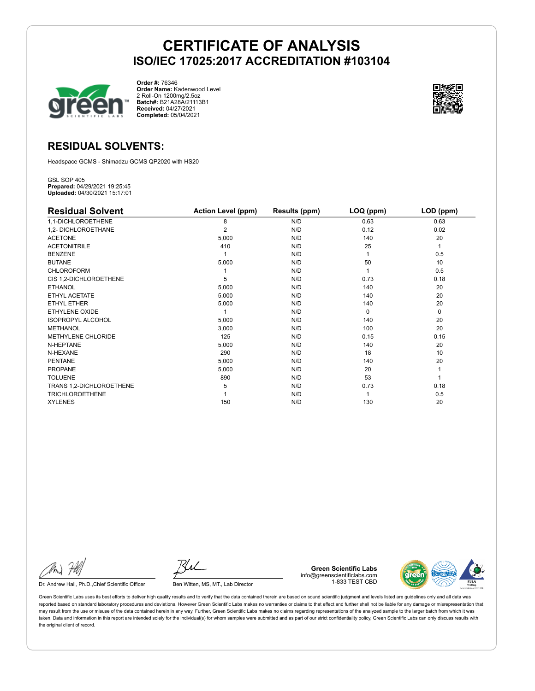

**Order #:** 76346 **Order Name:** Kadenwood Level 2 Roll-On 1200mg/2.5oz **Batch#:** B21A28A/21113B1 **Received:** 04/27/2021 **Completed:** 05/04/2021



# **RESIDUAL SOLVENTS:**

Headspace GCMS - Shimadzu GCMS QP2020 with HS20

GSL SOP 405 **Prepared:** 04/29/2021 19:25:45 **Uploaded:** 04/30/2021 15:17:01

| <b>Residual Solvent</b>  | <b>Action Level (ppm)</b> | Results (ppm) | LOQ (ppm) | LOD (ppm) |
|--------------------------|---------------------------|---------------|-----------|-----------|
| 1,1-DICHLOROETHENE       | 8                         | N/D           | 0.63      | 0.63      |
| 1,2- DICHLOROETHANE      | $\overline{2}$            | N/D           | 0.12      | 0.02      |
| <b>ACETONE</b>           | 5,000                     | N/D           | 140       | 20        |
| <b>ACETONITRILE</b>      | 410                       | N/D           | 25        | 1         |
| <b>BENZENE</b>           |                           | N/D           |           | 0.5       |
| <b>BUTANE</b>            | 5,000                     | N/D           | 50        | 10        |
| <b>CHLOROFORM</b>        |                           | N/D           |           | 0.5       |
| CIS 1,2-DICHLOROETHENE   | 5                         | N/D           | 0.73      | 0.18      |
| <b>ETHANOL</b>           | 5,000                     | N/D           | 140       | 20        |
| ETHYL ACETATE            | 5,000                     | N/D           | 140       | 20        |
| <b>ETHYL ETHER</b>       | 5,000                     | N/D           | 140       | 20        |
| <b>ETHYLENE OXIDE</b>    |                           | N/D           | $\Omega$  | 0         |
| <b>ISOPROPYL ALCOHOL</b> | 5,000                     | N/D           | 140       | 20        |
| <b>METHANOL</b>          | 3,000                     | N/D           | 100       | 20        |
| METHYLENE CHLORIDE       | 125                       | N/D           | 0.15      | 0.15      |
| N-HEPTANE                | 5,000                     | N/D           | 140       | 20        |
| N-HEXANE                 | 290                       | N/D           | 18        | 10        |
| <b>PENTANE</b>           | 5,000                     | N/D           | 140       | 20        |
| <b>PROPANE</b>           | 5,000                     | N/D           | 20        |           |
| <b>TOLUENE</b>           | 890                       | N/D           | 53        |           |
| TRANS 1,2-DICHLOROETHENE | 5                         | N/D           | 0.73      | 0.18      |
| <b>TRICHLOROETHENE</b>   |                           | N/D           |           | 0.5       |
| <b>XYLENES</b>           | 150                       | N/D           | 130       | 20        |

Dr. Andrew Hall, Ph.D., Chief Scientific Officer Ben Witten, MS, MT., Lab Director

**Green Scientific Labs** info@greenscientificlabs.com 1-833 TEST CBD

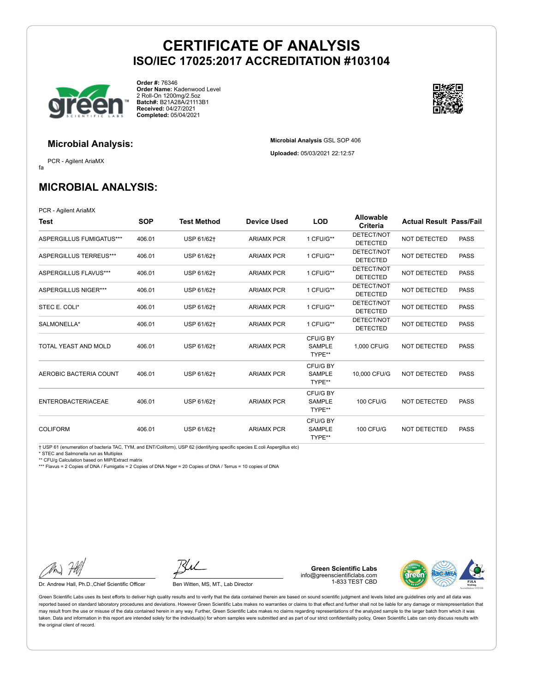

**Order #:** 76346 **Order Name:** Kadenwood Level 2 Roll-On 1200mg/2.5oz **Batch#:** B21A28A/21113B1 **Received:** 04/27/2021 **Completed:** 05/04/2021

## **Microbial Analysis:**

fa PCR - Agilent AriaMX

**MICROBIAL ANALYSIS:**

PCR - Agilent AriaMX

| Test                        | <b>SOP</b> | <b>Test Method</b> | <b>Device Used</b> | <b>LOD</b>                          | Allowable<br>Criteria         | <b>Actual Result Pass/Fail</b> |             |
|-----------------------------|------------|--------------------|--------------------|-------------------------------------|-------------------------------|--------------------------------|-------------|
| ASPERGILLUS FUMIGATUS***    | 406.01     | USP 61/62+         | <b>ARIAMX PCR</b>  | 1 CFU/G**                           | DETECT/NOT<br><b>DETECTED</b> | <b>NOT DETECTED</b>            | <b>PASS</b> |
| ASPERGILLUS TERREUS***      | 406.01     | USP 61/62+         | <b>ARIAMX PCR</b>  | 1 CFU/G**                           | DETECT/NOT<br><b>DETECTED</b> | <b>NOT DETECTED</b>            | <b>PASS</b> |
| ASPERGILLUS FLAVUS***       | 406.01     | USP 61/62+         | <b>ARIAMX PCR</b>  | 1 CFU/G**                           | DETECT/NOT<br><b>DETECTED</b> | <b>NOT DETECTED</b>            | <b>PASS</b> |
| <b>ASPERGILLUS NIGER***</b> | 406.01     | USP 61/62+         | <b>ARIAMX PCR</b>  | 1 CFU/G**                           | DETECT/NOT<br><b>DETECTED</b> | <b>NOT DETECTED</b>            | <b>PASS</b> |
| STEC E. COLI*               | 406.01     | USP 61/62+         | <b>ARIAMX PCR</b>  | 1 CFU/G**                           | DETECT/NOT<br><b>DETECTED</b> | NOT DETECTED                   | <b>PASS</b> |
| SALMONELLA*                 | 406.01     | USP 61/62+         | <b>ARIAMX PCR</b>  | 1 CFU/G**                           | DETECT/NOT<br><b>DETECTED</b> | NOT DETECTED                   | <b>PASS</b> |
| TOTAL YEAST AND MOLD        | 406.01     | USP 61/62+         | <b>ARIAMX PCR</b>  | CFU/G BY<br><b>SAMPLE</b><br>TYPE** | 1.000 CFU/G                   | <b>NOT DETECTED</b>            | <b>PASS</b> |
| AEROBIC BACTERIA COUNT      | 406.01     | USP 61/62+         | <b>ARIAMX PCR</b>  | CFU/G BY<br><b>SAMPLE</b><br>TYPE** | 10,000 CFU/G                  | NOT DETECTED                   | <b>PASS</b> |
| <b>ENTEROBACTERIACEAE</b>   | 406.01     | USP 61/62+         | <b>ARIAMX PCR</b>  | CFU/G BY<br><b>SAMPLE</b><br>TYPE** | 100 CFU/G                     | NOT DETECTED                   | <b>PASS</b> |
| <b>COLIFORM</b>             | 406.01     | USP 61/62+         | <b>ARIAMX PCR</b>  | CFU/G BY<br><b>SAMPLE</b><br>TYPE** | <b>100 CFU/G</b>              | <b>NOT DETECTED</b>            | <b>PASS</b> |

† USP 61 (enumeration of bacteria TAC, TYM, and ENT/Coliform), USP 62 (identifying specific species E.coli Aspergillus etc)

\* STEC and Salmonella run as Multiplex

\*\* CFU/g Calculation based on MIP/Extract matrix

\*\*\* Flavus = 2 Copies of DNA / Fumigatis = 2 Copies of DNA Niger = 20 Copies of DNA / Terrus = 10 copies of DNA

Dr. Andrew Hall, Ph.D., Chief Scientific Officer Ben Witten, MS, MT., Lab Director

**Green Scientific Labs** info@greenscientificlabs.com 1-833 TEST CBD



Green Scientific Labs uses its best efforts to deliver high quality results and to verify that the data contained therein are based on sound scientific judgment and levels listed are guidelines only and all data was reported based on standard laboratory procedures and deviations. However Green Scientific Labs makes no warranties or claims to that effect and further shall not be liable for any damage or misrepresentation that may result from the use or misuse of the data contained herein in any way. Further, Green Scientific Labs makes no claims regarding representations of the analyzed sample to the larger batch from which it was taken. Data and information in this report are intended solely for the individual(s) for whom samples were submitted and as part of our strict confidentiality policy, Green Scientific Labs can only discuss results with the original client of record.



**Microbial Analysis** GSL SOP 406 **Uploaded:** 05/03/2021 22:12:57